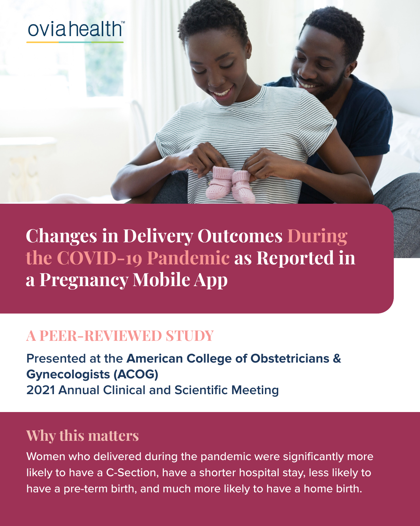

**Changes in Delivery Outcomes During the COVID-19 Pandemic as Reported in a Pregnancy Mobile App**

#### **A PEER-REVIEWED STUDY**

**Presented at the American College of Obstetricians & Gynecologists (ACOG) 2021 Annual Clinical and Scientific Meeting**

# **Why this matters**

Women who delivered during the pandemic were significantly more likely to have a C-Section, have a shorter hospital stay, less likely to have a pre-term birth, and much more likely to have a home birth.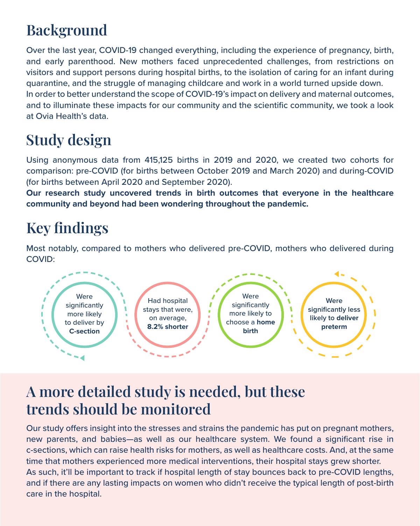## **Background**

Over the last year, COVID-19 changed everything, including the experience of pregnancy, birth, and early parenthood. New mothers faced unprecedented challenges, from restrictions on visitors and support persons during hospital births, to the isolation of caring for an infant during quarantine, and the struggle of managing childcare and work in a world turned upside down. In order to better understand the scope of COVID-19's impact on delivery and maternal outcomes, and to illuminate these impacts for our community and the scientific community, we took a look at Ovia Health's data.

# **Study design**

Using anonymous data from 415,125 births in 2019 and 2020, we created two cohorts for comparison: pre-COVID (for births between October 2019 and March 2020) and during-COVID (for births between April 2020 and September 2020).

**Our research study uncovered trends in birth outcomes that everyone in the healthcare community and beyond had been wondering throughout the pandemic.**

## **Key findings**

Most notably, compared to mothers who delivered pre-COVID, mothers who delivered during COVID:



### **A more detailed study is needed, but these trends should be monitored**

Our study offers insight into the stresses and strains the pandemic has put on pregnant mothers, new parents, and babies—as well as our healthcare system. We found a significant rise in c-sections, which can raise health risks for mothers, as well as healthcare costs. And, at the same time that mothers experienced more medical interventions, their hospital stays grew shorter. As such, it'll be important to track if hospital length of stay bounces back to pre-COVID lengths, and if there are any lasting impacts on women who didn't receive the typical length of post-birth care in the hospital.